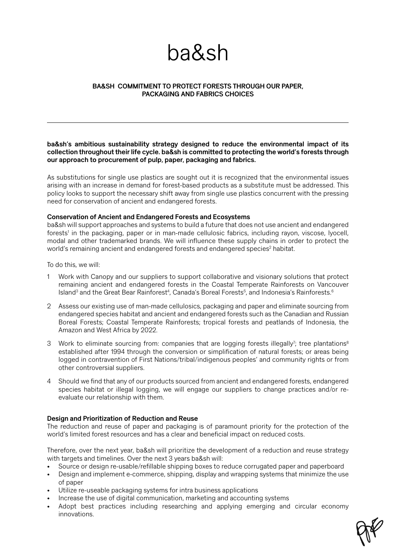# ba&sh

## **BA&SH COMMITMENT TO PROTECT FORESTS THROUGH OUR PAPER, PACKAGING AND FABRICS CHOICES**

**ba&sh's ambitious sustainability strategy designed to reduce the environmental impact of its collection throughout their life cycle. ba&sh is committed to protecting the world's forests through our approach to procurement of pulp, paper, packaging and fabrics.** 

As substitutions for single use plastics are sought out it is recognized that the environmental issues arising with an increase in demand for forest-based products as a substitute must be addressed. This policy looks to support the necessary shift away from single use plastics concurrent with the pressing need for conservation of ancient and endangered forests.

#### **Conservation of Ancient and Endangered Forests and Ecosystems**

ba&sh will support approaches and systems to build a future that does not use ancient and endangered forests<sup>1</sup> in the packaging, paper or in man-made cellulosic fabrics, including rayon, viscose, lyocell, modal and other trademarked brands. We will influence these supply chains in order to protect the world's remaining ancient and endangered forests and endangered species<sup>2</sup> habitat.

To do this, we will:

- 1 Work with Canopy and our suppliers to support collaborative and visionary solutions that protect remaining ancient and endangered forests in the Coastal Temperate Rainforests on Vancouver Island<sup>3</sup> and the Great Bear Rainforest<sup>4</sup>, Canada's Boreal Forests<sup>5</sup>, and Indonesia's Rainforests.<sup>6</sup>
- 2 Assess our existing use of man-made cellulosics, packaging and paper and eliminate sourcing from endangered species habitat and ancient and endangered forests such as the Canadian and Russian Boreal Forests; Coastal Temperate Rainforests; tropical forests and peatlands of Indonesia, the Amazon and West Africa by 2022.
- 3 Work to eliminate sourcing from: companies that are logging forests illegally<sup>7</sup>; tree plantations<sup>8</sup> established after 1994 through the conversion or simplification of natural forests; or areas being logged in contravention of First Nations/tribal/indigenous peoples' and community rights or from other controversial suppliers.
- 4 Should we find that any of our products sourced from ancient and endangered forests, endangered species habitat or illegal logging, we will engage our suppliers to change practices and/or reevaluate our relationship with them.

## **Design and Prioritization of Reduction and Reuse**

The reduction and reuse of paper and packaging is of paramount priority for the protection of the world's limited forest resources and has a clear and beneficial impact on reduced costs.

Therefore, over the next year, ba&sh will prioritize the development of a reduction and reuse strategy with targets and timelines. Over the next 3 years ba&sh will:

- Source or design re-usable/refillable shipping boxes to reduce corrugated paper and paperboard
- Design and implement e-commerce, shipping, display and wrapping systems that minimize the use of paper
- Utilize re-useable packaging systems for intra business applications
- Increase the use of digital communication, marketing and accounting systems
- Adopt best practices including researching and applying emerging and circular economy innovations.

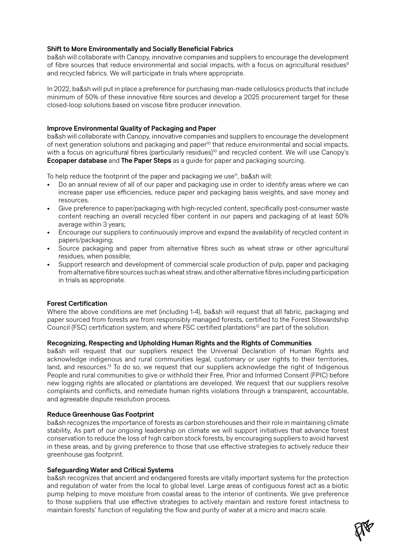# **Shift to More Environmentally and Socially Beneficial Fabrics**

ba&sh will collaborate with Canopy, innovative companies and suppliers to encourage the development of fibre sources that reduce environmental and social impacts, with a focus on agricultural residues<sup>9</sup> and recycled fabrics. We will participate in trials where appropriate.

In 2022, ba&sh will put in place a preference for purchasing man-made cellulosics products that include minimum of 50% of these innovative fibre sources and develop a 2025 procurement target for these closed-loop solutions based on viscose fibre producer innovation.

# **Improve Environmental Quality of Packaging and Paper**

ba&sh will collaborate with Canopy, innovative companies and suppliers to encourage the development of next generation solutions and packaging and paper<sup>10</sup> that reduce environmental and social impacts, with a focus on agricultural fibres (particularly residues)<sup>10</sup> and recycled content. We will use Canopy's **Ecopaper database** and **The Paper Steps** as a guide for paper and packaging sourcing.

To help reduce the footprint of the paper and packaging we use<sup>11</sup>, ba&sh will:

- Do an annual review of all of our paper and packaging use in order to identify areas where we can increase paper use efficiencies, reduce paper and packaging basis weights, and save money and resources.
- Give preference to paper/packaging with high-recycled content, specifically post-consumer waste content reaching an overall recycled fiber content in our papers and packaging of at least 50% average within 3 years;
- Encourage our suppliers to continuously improve and expand the availability of recycled content in papers/packaging;
- Source packaging and paper from alternative fibres such as wheat straw or other agricultural residues, when possible;
- Support research and development of commercial scale production of pulp, paper and packaging from alternative fibre sources such as wheat straw, and other alternative fibres including participation in trials as appropriate.

## **Forest Certification**

Where the above conditions are met (including 1-4), ba&sh will request that all fabric, packaging and paper sourced from forests are from responsibly managed forests, certified to the Forest Stewardship Council (FSC) certification system, and where FSC certified plantations<sup>12</sup> are part of the solution.

## **Recognizing, Respecting and Upholding Human Rights and the Rights of Communities**

ba&sh will request that our suppliers respect the Universal Declaration of Human Rights and acknowledge indigenous and rural communities legal, customary or user rights to their territories, land, and resources.<sup>13</sup> To do so, we request that our suppliers acknowledge the right of Indigenous People and rural communities to give or withhold their Free, Prior and Informed Consent (FPIC) before new logging rights are allocated or plantations are developed. We request that our suppliers resolve complaints and conflicts, and remediate human rights violations through a transparent, accountable, and agreeable dispute resolution process.

## **Reduce Greenhouse Gas Footprint**

ba&sh recognizes the importance of forests as carbon storehouses and their role in maintaining climate stability, As part of our ongoing leadership on climate we will support initiatives that advance forest conservation to reduce the loss of high carbon stock forests, by encouraging suppliers to avoid harvest in these areas, and by giving preference to those that use effective strategies to actively reduce their greenhouse gas footprint.

## **Safeguarding Water and Critical Systems**

ba&sh recognizes that ancient and endangered forests are vitally important systems for the protection and regulation of water from the local to global level. Large areas of contiguous forest act as a biotic pump helping to move moisture from coastal areas to the interior of continents. We give preference to those suppliers that use effective strategies to actively maintain and restore forest intactness to maintain forests' function of regulating the flow and purity of water at a micro and macro scale.

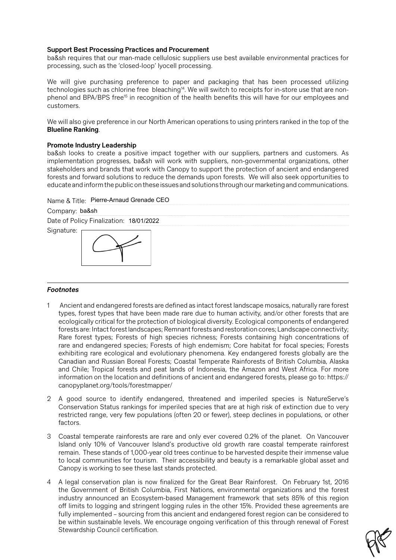#### **Support Best Processing Practices and Procurement**

ba&sh requires that our man-made cellulosic suppliers use best available environmental practices for processing, such as the 'closed-loop' lyocell processing.

We will give purchasing preference to paper and packaging that has been processed utilizing technologies such as chlorine free bleaching<sup>14</sup>. We will switch to receipts for in-store use that are nonphenol and BPA/BPS free<sup>15</sup> in recognition of the health benefits this will have for our employees and customers.

We will also give preference in our North American operations to using printers ranked in the top of the **Blueline Ranking**.

#### **Promote Industry Leadership**

ba&sh looks to create a positive impact together with our suppliers, partners and customers. As implementation progresses, ba&sh will work with suppliers, non-governmental organizations, other stakeholders and brands that work with Canopy to support the protection of ancient and endangered forests and forward solutions to reduce the demands upon forests. We will also seek opportunities to educate and inform the public on these issues and solutions through our marketing and communications.

| Name & Title: Pierre-Arnaud Grenade CEO |
|-----------------------------------------|
|                                         |



#### *Footnotes*

- 1 Ancient and endangered forests are defined as intact forest landscape mosaics, naturally rare forest types, forest types that have been made rare due to human activity, and/or other forests that are ecologically critical for the protection of biological diversity. Ecological components of endangered forests are: Intact forest landscapes; Remnant forests and restoration cores; Landscape connectivity; Rare forest types; Forests of high species richness; Forests containing high concentrations of rare and endangered species; Forests of high endemism; Core habitat for focal species; Forests exhibiting rare ecological and evolutionary phenomena. Key endangered forests globally are the Canadian and Russian Boreal Forests; Coastal Temperate Rainforests of British Columbia, Alaska and Chile; Tropical forests and peat lands of Indonesia, the Amazon and West Africa. For more information on the location and definitions of ancient and endangered forests, please go to: [https://](https://canopyplanet.org/tools/forestmapper/) [canopyplanet.org/tools/forestmapper/](https://canopyplanet.org/tools/forestmapper/)
- 2 A good source to identify endangered, threatened and imperiled species is NatureServe's Conservation Status rankings for imperiled species that are at high risk of extinction due to very restricted range, very few populations (often 20 or fewer), steep declines in populations, or other factors.
- 3 Coastal temperate rainforests are rare and only ever covered 0.2% of the planet. On Vancouver Island only 10% of Vancouver Island's productive old growth rare coastal temperate rainforest remain. These stands of 1,000-year old trees continue to be harvested despite their immense value to local communities for tourism. Their accessibility and beauty is a remarkable global asset and Canopy is working to see these last stands protected.
- 4 A legal conservation plan is now finalized for the Great Bear Rainforest. On February 1st, 2016 the Government of British Columbia, First Nations, environmental organizations and the forest industry announced an Ecosystem-based Management framework that sets 85% of this region off limits to logging and stringent logging rules in the other 15%. Provided these agreements are fully implemented – sourcing from this ancient and endangered forest region can be considered to be within sustainable levels. We encourage ongoing verification of this through renewal of Forest Stewardship Council certification.